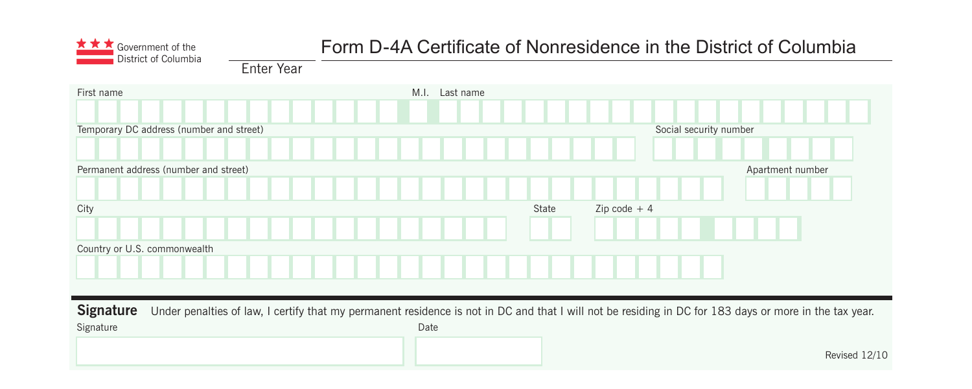

# Government of the **Form D-4A Certificate of Nonresidence in the District of Columbia**<br>District of Columbia

Enter Year

| First name                               | M.I. Last name                                                                                                                                                 |  |
|------------------------------------------|----------------------------------------------------------------------------------------------------------------------------------------------------------------|--|
| Temporary DC address (number and street) | Social security number                                                                                                                                         |  |
| Permanent address (number and street)    | Apartment number                                                                                                                                               |  |
| City                                     | Zip code $+4$<br>State                                                                                                                                         |  |
| Country or U.S. commonwealth             |                                                                                                                                                                |  |
|                                          |                                                                                                                                                                |  |
| <b>Signature</b><br>Signature            | Under penalties of law, I certify that my permanent residence is not in DC and that I will not be residing in DC for 183 days or more in the tax year.<br>Date |  |
|                                          | Revised 12/10                                                                                                                                                  |  |